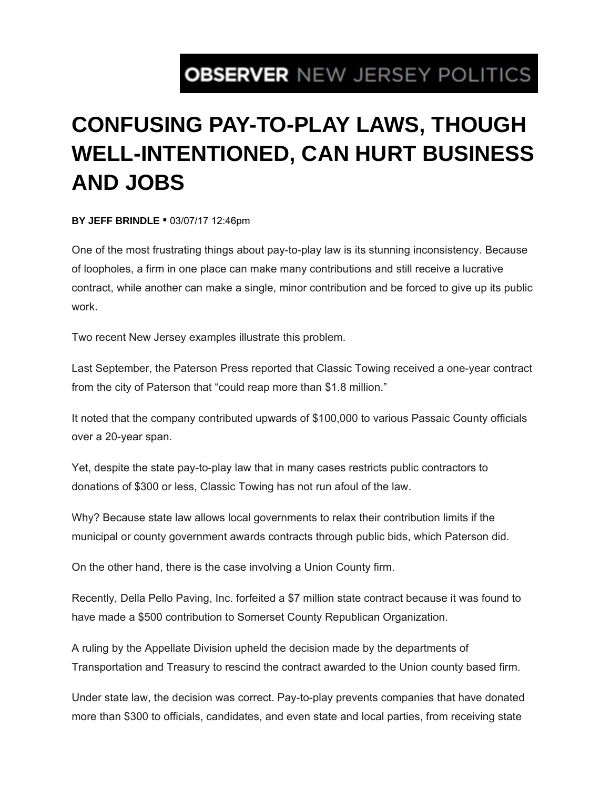## **OBSERVER NEW JERSEY POLITICS**

## **CONFUSING PAY-TO-PLAY LAWS, THOUGH WELL-INTENTIONED, CAN HURT BUSINESS AND JOBS**

**BY JEFF BRINDLE** ▪ 03/07/17 12:46pm

One of the most frustrating things about pay-to-play law is its stunning inconsistency. Because of loopholes, a firm in one place can make many contributions and still receive a lucrative contract, while another can make a single, minor contribution and be forced to give up its public work.

Two recent New Jersey examples illustrate this problem.

Last September, the Paterson Press reported that Classic Towing received a one-year contract from the city of Paterson that "could reap more than \$1.8 million."

It noted that the company contributed upwards of \$100,000 to various Passaic County officials over a 20-year span.

Yet, despite the state pay-to-play law that in many cases restricts public contractors to donations of \$300 or less, Classic Towing has not run afoul of the law.

Why? Because state law allows local governments to relax their contribution limits if the municipal or county government awards contracts through public bids, which Paterson did.

On the other hand, there is the case involving a Union County firm.

Recently, Della Pello Paving, Inc. forfeited a \$7 million state contract because it was found to have made a \$500 contribution to Somerset County Republican Organization.

A ruling by the Appellate Division upheld the decision made by the departments of Transportation and Treasury to rescind the contract awarded to the Union county based firm.

Under state law, the decision was correct. Pay-to-play prevents companies that have donated more than \$300 to officials, candidates, and even state and local parties, from receiving state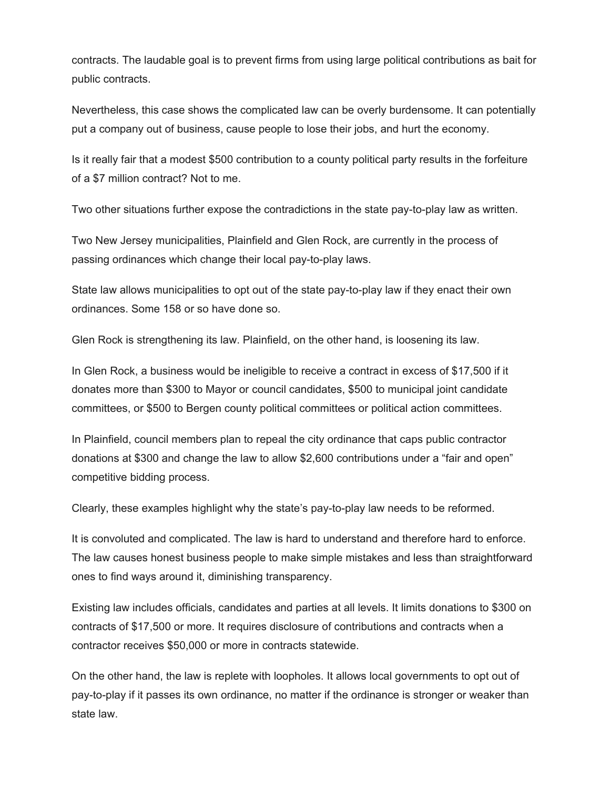contracts. The laudable goal is to prevent firms from using large political contributions as bait for public contracts.

Nevertheless, this case shows the complicated law can be overly burdensome. It can potentially put a company out of business, cause people to lose their jobs, and hurt the economy.

Is it really fair that a modest \$500 contribution to a county political party results in the forfeiture of a \$7 million contract? Not to me.

Two other situations further expose the contradictions in the state pay-to-play law as written.

Two New Jersey municipalities, Plainfield and Glen Rock, are currently in the process of passing ordinances which change their local pay-to-play laws.

State law allows municipalities to opt out of the state pay-to-play law if they enact their own ordinances. Some 158 or so have done so.

Glen Rock is strengthening its law. Plainfield, on the other hand, is loosening its law.

In Glen Rock, a business would be ineligible to receive a contract in excess of \$17,500 if it donates more than \$300 to Mayor or council candidates, \$500 to municipal joint candidate committees, or \$500 to Bergen county political committees or political action committees.

In Plainfield, council members plan to repeal the city ordinance that caps public contractor donations at \$300 and change the law to allow \$2,600 contributions under a "fair and open" competitive bidding process.

Clearly, these examples highlight why the state's pay-to-play law needs to be reformed.

It is convoluted and complicated. The law is hard to understand and therefore hard to enforce. The law causes honest business people to make simple mistakes and less than straightforward ones to find ways around it, diminishing transparency.

Existing law includes officials, candidates and parties at all levels. It limits donations to \$300 on contracts of \$17,500 or more. It requires disclosure of contributions and contracts when a contractor receives \$50,000 or more in contracts statewide.

On the other hand, the law is replete with loopholes. It allows local governments to opt out of pay-to-play if it passes its own ordinance, no matter if the ordinance is stronger or weaker than state law.